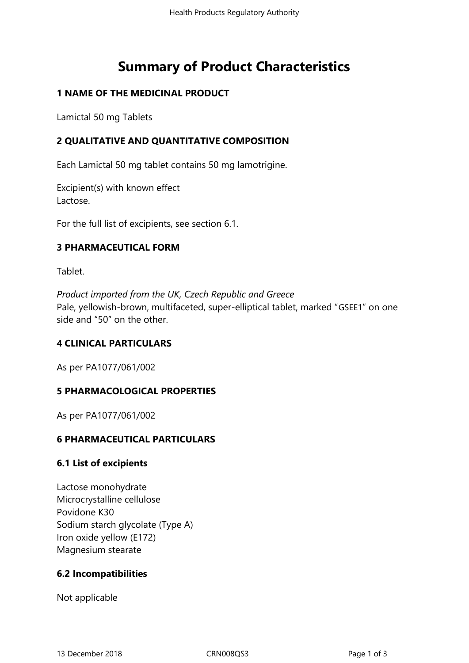# **Summary of Product Characteristics**

## **1 NAME OF THE MEDICINAL PRODUCT**

Lamictal 50 mg Tablets

## **2 QUALITATIVE AND QUANTITATIVE COMPOSITION**

Each Lamictal 50 mg tablet contains 50 mg lamotrigine.

Excipient(s) with known effect Lactose.

For the full list of excipients, see section 6.1.

## **3 PHARMACEUTICAL FORM**

Tablet.

*Product imported from the UK, Czech Republic and Greece*  Pale, yellowish-brown, multifaceted, super-elliptical tablet, marked "GSEE1" on one side and "50" on the other.

## **4 CLINICAL PARTICULARS**

As per PA1077/061/002

## **5 PHARMACOLOGICAL PROPERTIES**

As per PA1077/061/002

## **6 PHARMACEUTICAL PARTICULARS**

## **6.1 List of excipients**

Lactose monohydrate Microcrystalline cellulose Povidone K30 Sodium starch glycolate (Type A) Iron oxide yellow (E172) Magnesium stearate

## **6.2 Incompatibilities**

Not applicable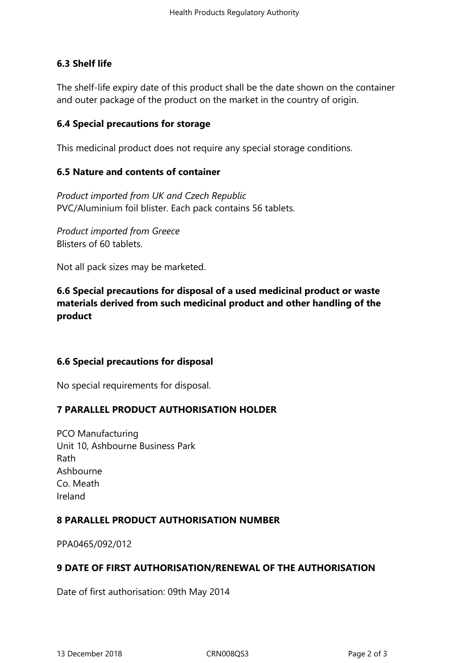## **6.3 Shelf life**

The shelf-life expiry date of this product shall be the date shown on the container and outer package of the product on the market in the country of origin.

## **6.4 Special precautions for storage**

This medicinal product does not require any special storage conditions.

## **6.5 Nature and contents of container**

*Product imported from UK and Czech Republic*  PVC/Aluminium foil blister. Each pack contains 56 tablets.

*Product imported from Greece*  Blisters of 60 tablets.

Not all pack sizes may be marketed.

# **6.6 Special precautions for disposal of a used medicinal product or waste materials derived from such medicinal product and other handling of the product**

## **6.6 Special precautions for disposal**

No special requirements for disposal.

## **7 PARALLEL PRODUCT AUTHORISATION HOLDER**

PCO Manufacturing Unit 10, Ashbourne Business Park Rath Ashbourne Co. Meath Ireland

## **8 PARALLEL PRODUCT AUTHORISATION NUMBER**

PPA0465/092/012

## **9 DATE OF FIRST AUTHORISATION/RENEWAL OF THE AUTHORISATION**

Date of first authorisation: 09th May 2014